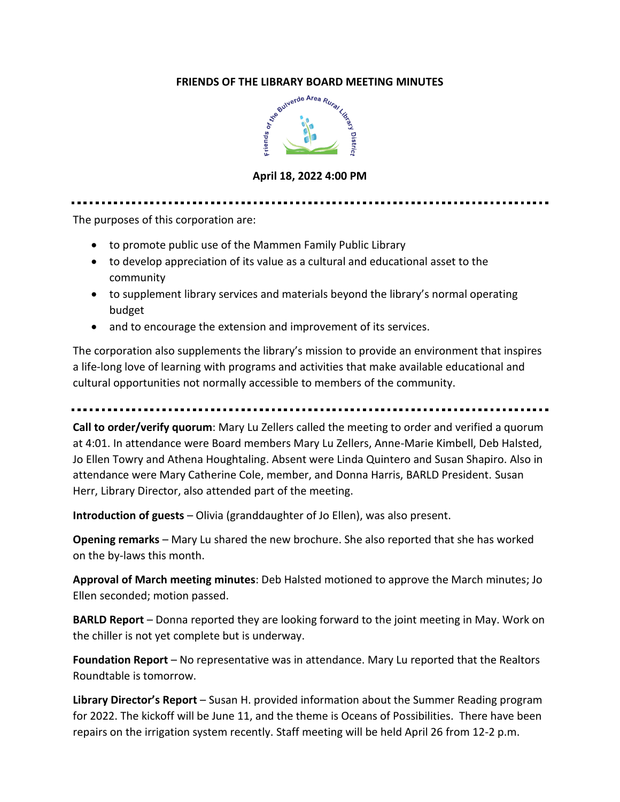

**April 18, 2022 4:00 PM**

The purposes of this corporation are:

- to promote public use of the Mammen Family Public Library
- to develop appreciation of its value as a cultural and educational asset to the community
- to supplement library services and materials beyond the library's normal operating budget
- and to encourage the extension and improvement of its services.

The corporation also supplements the library's mission to provide an environment that inspires a life-long love of learning with programs and activities that make available educational and cultural opportunities not normally accessible to members of the community.

**Call to order/verify quorum**: Mary Lu Zellers called the meeting to order and verified a quorum at 4:01. In attendance were Board members Mary Lu Zellers, Anne-Marie Kimbell, Deb Halsted, Jo Ellen Towry and Athena Houghtaling. Absent were Linda Quintero and Susan Shapiro. Also in attendance were Mary Catherine Cole, member, and Donna Harris, BARLD President. Susan Herr, Library Director, also attended part of the meeting.

**Introduction of guests** – Olivia (granddaughter of Jo Ellen), was also present.

**Opening remarks** – Mary Lu shared the new brochure. She also reported that she has worked on the by-laws this month.

**Approval of March meeting minutes**: Deb Halsted motioned to approve the March minutes; Jo Ellen seconded; motion passed.

**BARLD Report** – Donna reported they are looking forward to the joint meeting in May. Work on the chiller is not yet complete but is underway.

**Foundation Report** – No representative was in attendance. Mary Lu reported that the Realtors Roundtable is tomorrow.

**Library Director's Report** – Susan H. provided information about the Summer Reading program for 2022. The kickoff will be June 11, and the theme is Oceans of Possibilities. There have been repairs on the irrigation system recently. Staff meeting will be held April 26 from 12-2 p.m.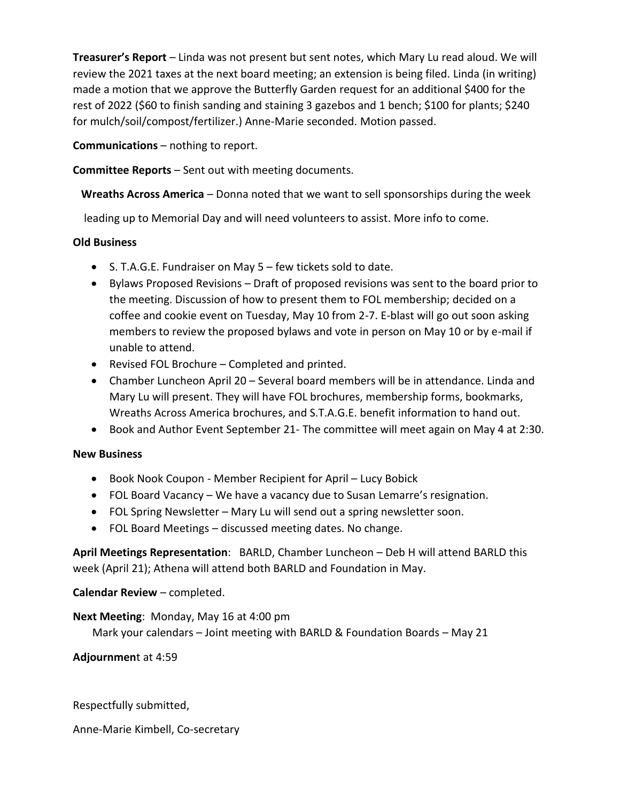**Treasurer's Report** – Linda was not present but sent notes, which Mary Lu read aloud. We will review the 2021 taxes at the next board meeting; an extension is being filed. Linda (in writing) made a motion that we approve the Butterfly Garden request for an additional \$400 for the rest of 2022 (\$60 to finish sanding and staining 3 gazebos and 1 bench; \$100 for plants; \$240 for mulch/soil/compost/fertilizer.) Anne-Marie seconded. Motion passed.

**Communications** – nothing to report.

**Committee Reports** – Sent out with meeting documents.

**Wreaths Across America** – Donna noted that we want to sell sponsorships during the week

leading up to Memorial Day and will need volunteers to assist. More info to come.

# **Old Business**

- S. T.A.G.E. Fundraiser on May 5 few tickets sold to date.
- Bylaws Proposed Revisions Draft of proposed revisions was sent to the board prior to the meeting. Discussion of how to present them to FOL membership; decided on a coffee and cookie event on Tuesday, May 10 from 2-7. E-blast will go out soon asking members to review the proposed bylaws and vote in person on May 10 or by e-mail if unable to attend.
- Revised FOL Brochure Completed and printed.
- Chamber Luncheon April 20 Several board members will be in attendance. Linda and Mary Lu will present. They will have FOL brochures, membership forms, bookmarks, Wreaths Across America brochures, and S.T.A.G.E. benefit information to hand out.
- Book and Author Event September 21- The committee will meet again on May 4 at 2:30.

# **New Business**

- Book Nook Coupon Member Recipient for April Lucy Bobick
- FOL Board Vacancy We have a vacancy due to Susan Lemarre's resignation.
- FOL Spring Newsletter Mary Lu will send out a spring newsletter soon.
- FOL Board Meetings discussed meeting dates. No change.

**April Meetings Representation**: BARLD, Chamber Luncheon – Deb H will attend BARLD this week (April 21); Athena will attend both BARLD and Foundation in May.

# **Calendar Review** – completed.

# **Next Meeting**: Monday, May 16 at 4:00 pm

Mark your calendars – Joint meeting with BARLD & Foundation Boards – May 21

**Adjournmen**t at 4:59

Respectfully submitted,

Anne-Marie Kimbell, Co-secretary